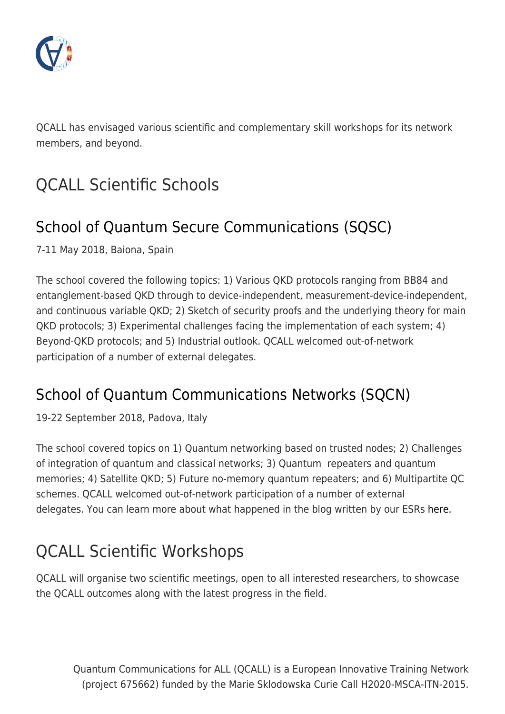

QCALL has envisaged various scientific and complementary skill workshops for its network members, and beyond.

# QCALL Scientific Schools

## [School of Quantum Secure Communications \(SQSC\)](http://www.qcall-itn.eu/sqc-school/)

7-11 May 2018, Baiona, Spain

The school covered the following topics: 1) Various QKD protocols ranging from BB84 and entanglement-based QKD through to device-independent, measurement-device-independent, and continuous variable QKD; 2) Sketch of security proofs and the underlying theory for main QKD protocols; 3) Experimental challenges facing the implementation of each system; 4) Beyond-QKD protocols; and 5) Industrial outlook. QCALL welcomed out-of-network participation of a number of external delegates.

### [School of Quantum Communications Networks \(SQCN\)](http://www.qcall-itn.eu/sqcn)

19-22 September 2018, Padova, Italy

The school covered topics on 1) Quantum networking based on trusted nodes; 2) Challenges of integration of quantum and classical networks; 3) Quantum repeaters and quantum memories; 4) Satellite QKD; 5) Future no-memory quantum repeaters; and 6) Multipartite QC schemes. QCALL welcomed out-of-network participation of a number of external delegates. You can learn more about what happened in the blog written by our ESRs [here.](http://www.qcall-itn.eu/2018/10/22/the-school-on-quantum-communications-networks-lived-up-to-the-expectations/)

# QCALL Scientific Workshops

QCALL will organise two scientific meetings, open to all interested researchers, to showcase the QCALL outcomes along with the latest progress in the field.

Quantum Communications for ALL (QCALL) is a European Innovative Training Network (project 675662) funded by the Marie Sklodowska Curie Call H2020-MSCA-ITN-2015.